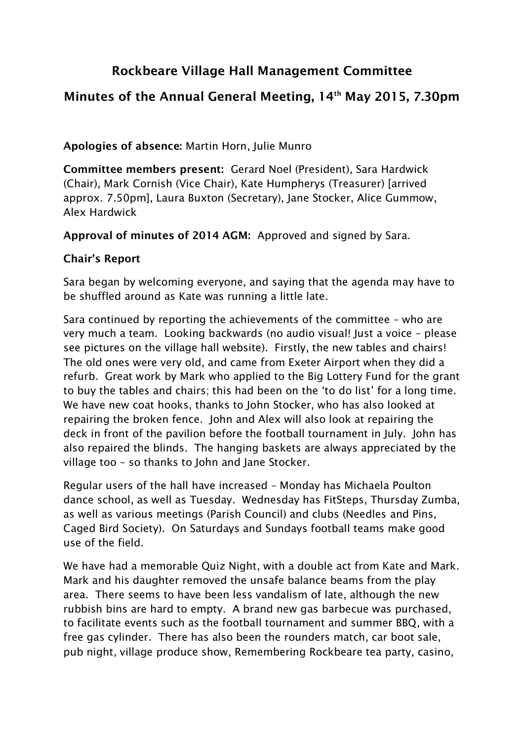# **Rockbeare Village Hall Management Committee**

## **Minutes of the Annual General Meeting, 14th May 2015, 7.30pm**

### **Apologies of absence:** Martin Horn, Julie Munro

**Committee members present:** Gerard Noel (President), Sara Hardwick (Chair), Mark Cornish (Vice Chair), Kate Humpherys (Treasurer) [arrived approx. 7.50pm], Laura Buxton (Secretary), Jane Stocker, Alice Gummow, Alex Hardwick

**Approval of minutes of 2014 AGM:** Approved and signed by Sara.

#### **Chair's Report**

Sara began by welcoming everyone, and saying that the agenda may have to be shuffled around as Kate was running a little late.

Sara continued by reporting the achievements of the committee – who are very much a team. Looking backwards (no audio visual! Just a voice – please see pictures on the village hall website). Firstly, the new tables and chairs! The old ones were very old, and came from Exeter Airport when they did a refurb. Great work by Mark who applied to the Big Lottery Fund for the grant to buy the tables and chairs; this had been on the 'to do list' for a long time. We have new coat hooks, thanks to John Stocker, who has also looked at repairing the broken fence. John and Alex will also look at repairing the deck in front of the pavilion before the football tournament in July. John has also repaired the blinds. The hanging baskets are always appreciated by the village too – so thanks to John and Jane Stocker.

Regular users of the hall have increased – Monday has Michaela Poulton dance school, as well as Tuesday. Wednesday has FitSteps, Thursday Zumba, as well as various meetings (Parish Council) and clubs (Needles and Pins, Caged Bird Society). On Saturdays and Sundays football teams make good use of the field.

We have had a memorable Quiz Night, with a double act from Kate and Mark. Mark and his daughter removed the unsafe balance beams from the play area. There seems to have been less vandalism of late, although the new rubbish bins are hard to empty. A brand new gas barbecue was purchased, to facilitate events such as the football tournament and summer BBQ, with a free gas cylinder. There has also been the rounders match, car boot sale, pub night, village produce show, Remembering Rockbeare tea party, casino,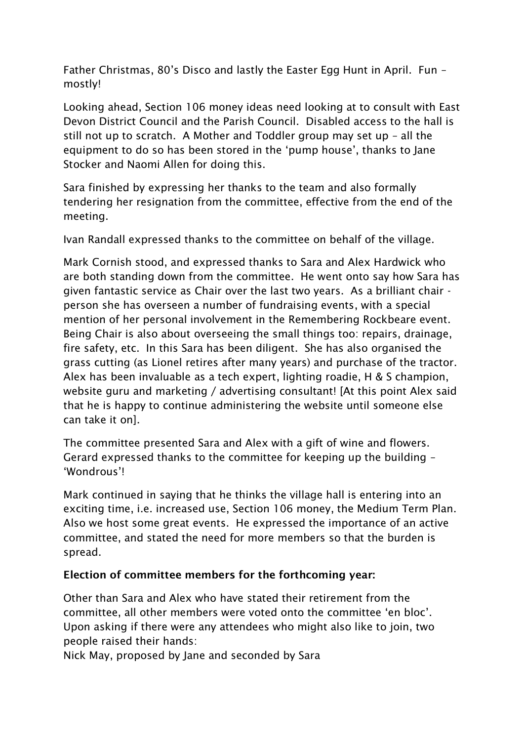Father Christmas, 80's Disco and lastly the Easter Egg Hunt in April. Fun – mostly!

Looking ahead, Section 106 money ideas need looking at to consult with East Devon District Council and the Parish Council. Disabled access to the hall is still not up to scratch. A Mother and Toddler group may set up – all the equipment to do so has been stored in the 'pump house', thanks to Jane Stocker and Naomi Allen for doing this.

Sara finished by expressing her thanks to the team and also formally tendering her resignation from the committee, effective from the end of the meeting.

Ivan Randall expressed thanks to the committee on behalf of the village.

Mark Cornish stood, and expressed thanks to Sara and Alex Hardwick who are both standing down from the committee. He went onto say how Sara has given fantastic service as Chair over the last two years. As a brilliant chair person she has overseen a number of fundraising events, with a special mention of her personal involvement in the Remembering Rockbeare event. Being Chair is also about overseeing the small things too: repairs, drainage, fire safety, etc. In this Sara has been diligent. She has also organised the grass cutting (as Lionel retires after many years) and purchase of the tractor. Alex has been invaluable as a tech expert, lighting roadie, H & S champion, website guru and marketing / advertising consultant! [At this point Alex said that he is happy to continue administering the website until someone else can take it on].

The committee presented Sara and Alex with a gift of wine and flowers. Gerard expressed thanks to the committee for keeping up the building – 'Wondrous'!

Mark continued in saying that he thinks the village hall is entering into an exciting time, i.e. increased use, Section 106 money, the Medium Term Plan. Also we host some great events. He expressed the importance of an active committee, and stated the need for more members so that the burden is spread.

## **Election of committee members for the forthcoming year:**

Other than Sara and Alex who have stated their retirement from the committee, all other members were voted onto the committee 'en bloc'. Upon asking if there were any attendees who might also like to join, two people raised their hands:

Nick May, proposed by Jane and seconded by Sara